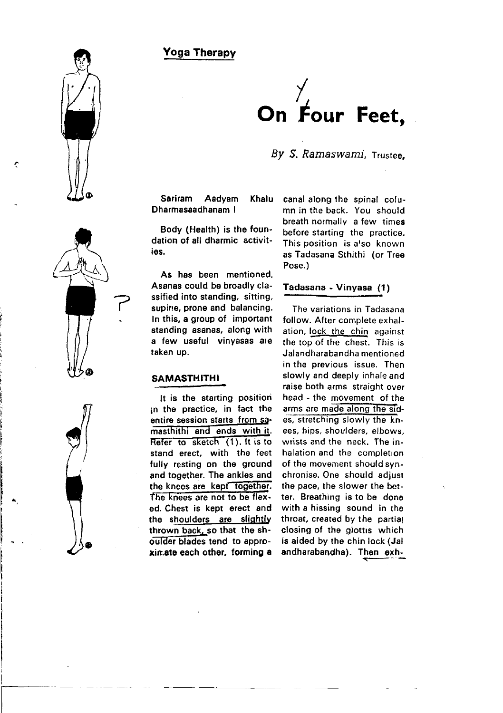Yoga Therapy



Bv S. Ramaswami, Trustee,

Sariram Aadyam Khalu Dharmasaadhanam I

Body (Health) is the foundation of all dharmic activities.

As has been mentioned, Asanas could be broadly classified into standing. sitting, supine. prone and balancing. In this, a group of important standing asanas, along with a few useful vinyasas are taken up.

## SAMASTHITHI

It is the starting position in the practice, in fact the entire session starts from sa masthithi and ends with it. Refer to sketch (1). It is to stand erect. with the feet fully resting on the ground and together. The ankles and the knees are kept together. The knees are not to be flexed. Chest is kept erect and the shoulders are slightly thrown back, so that the shoulder blades tend to approxir.ate each other, forming a

canal along the spinal column in the back. You should breath notmally a few times before starting the practice. This position is a'so known as Tadasana Sthithi (or Tree Pose.)

## Tadasana - Vinyasa (1)

The variations in Tadasana follow. After complete exhalation, lock the chin against the top of the chest. This is Jalandharabandha mentioned in the previous issue. Then slowly and deeply inhale and raise both arms straight over head - the movement of the arms are made along the sides, stretching slowly the knees, hips, shoulders, elbows, wrists and the neck. The inhalation and the completion of the movenent should synchronise. One should adjust the pace, the slower the better. Breathing is to be done with a hissing sound in the throat, created by the partial closing of the glottis which is aided by the chin lock (Jal andharabandha). Then exh-



ŗ

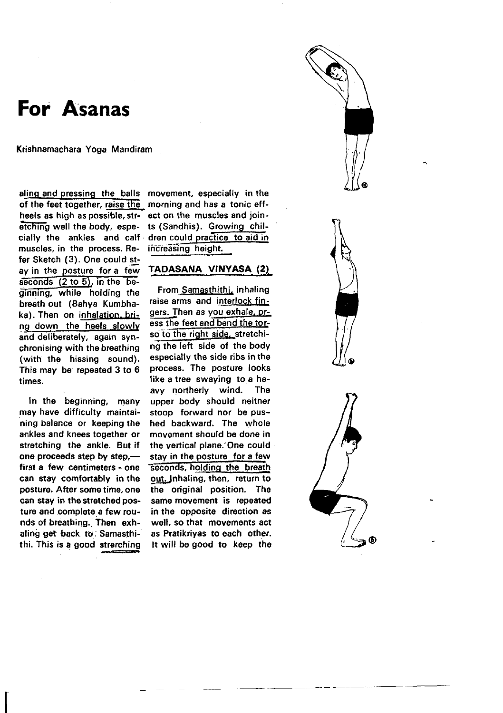# For Asanas

Krishnamachara Yoga Mandiram

aling and pressing the balls of the feet together, raise the heels as high as possible, stretching well the body, especially the ankles and calf muscles, in the process. Refer Sketch (3). One could stay in the posture for a few seconds  $(2 to 5)$ , in the beginning, while holding the breath out (Bahya Kumbhaka). Then on inhalation, bring down the heels slowly and deliberately, again synchronising with the breathing (with the hissing sound). This may be repeated 3 to 6 times.

in the beginning, many may have difficulty maintaining balance or keeping the ankles and knees together or stretching the ankle. But if one proceeds step by step.first a few centimeters - one can stay comfortably in the posture. After some time, one can stay in the stretched posture and complete a few rounds of breathing. Then exhaling get back to Samasthithi. This is a good strerching movement, especially in the morning and has a tonic effect on the muscles and joints (Sandhis). Growing children could practice to aid in increasing height.

## **TADASANA VINYASA (2)**

From Samasthithi, inhaling raise arms and interlock fingers. Then as you exhale, press the feet and bend the torso to the right side, stretching the left side of the body especially the side ribs in the process. The posture looks like a tree swaying to a heavy northerly wind. The upper body should neither stoop forward nor be pushed backward. The whole movement should be done in the vertical plane. One could stay in the posture for a few seconds, holding the breath out. Inhaling, then, return to the original position. The same movement is repeated in the opposite direction as well, so that movements act as Pratikrivas to each other. It will be good to keep the

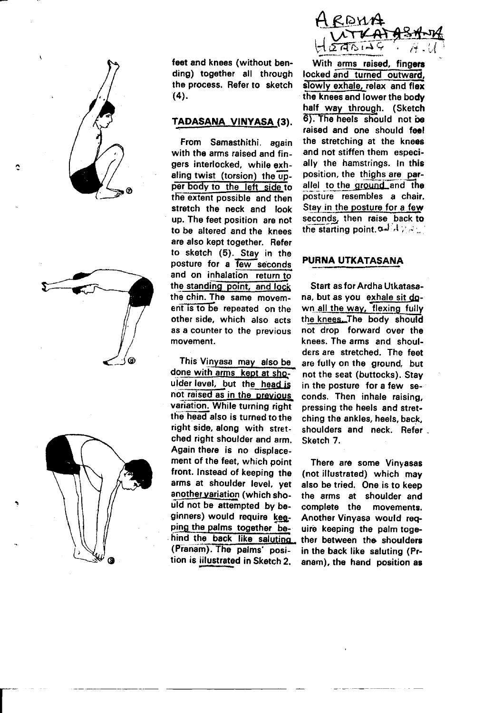





feet and knees (without bending) together all through the process. Refer to sketch  $(4).$ 

## TADASANA VINYASA (3).

From Samasthithi again with the arms raised and fingers interlocked, while exhaling twist (torsion) the upper body to the left side to the extent possible and then stretch the neck and look up. The feet position are not to be altered and the knees are also kept together. Refer to sketch (5). Stay in the posture for a few seconds and on inhalation return to the standing point, and lock the chin. The same movement is to be repeated on the other side, which also acts as a counter to the previous movement.

This Vinyasa may also be done with arms kept at shoulder level, but the head is not raised as in the previous variation. While turning right the head also is turned to the right side, along with stretched right shoulder and arm. Again there is no displacement of the feet, which point front. Instead of keeping the arms at shoulder level, yet another variation (which should not be attempted by beginners) would require keeping the palms together behind the back like saluting (Pranam). The palms' position is iilustrated in Sketch 2.



With arms raised, fingers locked and turned outward. slowly exhale, relax and flex the knees and lower the body half way through. (Sketch 6). The heels should not be raised and one should feel the stretching at the knees and not stiffen them especially the hamstrings. In this position, the thighs are parallel to the ground and the posture resembles a chair. Stay in the posture for a few seconds, then raise back to the starting point,  $\sigma A + \sigma A$ 

#### PURNA UTKATASANA

Start as for Ardha Utkatasana, but as you exhale sit down all the way, flexing fully the knees. The body should not drop forward over the knees. The arms and shoulders are stretched. The feet are fully on the ground, but not the seat (buttocks). Stav in the posture for a few seconds. Then inhale raising. pressing the heels and stretching the ankles, heels, back. shoulders and neck. Refer. Sketch 7.

There are some Vinvasas (not illustrated) which may also be tried. One is to keep the arms at shoulder and complete the movements. Another Vinvasa would reguire keeping the palm together between the shoulders in the back like saluting (Pranam), the hand position as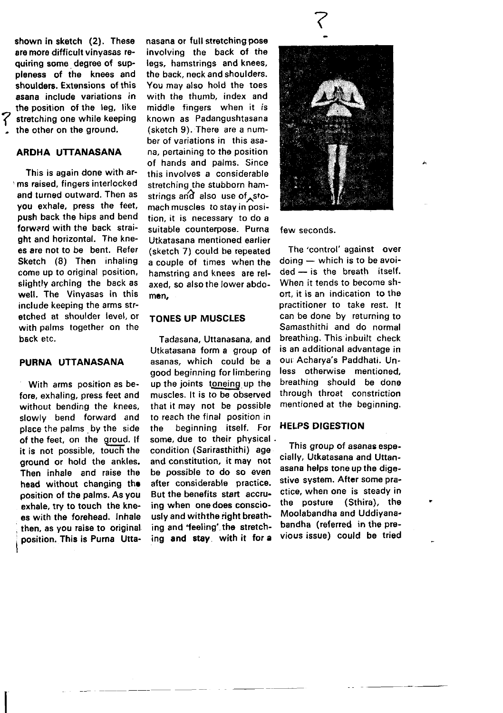shown in sketch (2). These are moro difficult vinyasas requiring some dogree of suppleness of the knees and shoulders. Extensions of this asana include variations in the position of the leg, like stretching one while keeping the other on the ground.

## ARDHA UTTANASANA

This is again done with ar- ,ms raised, fingers interlocked and turned outward. Then as you exhale, press the feet, push back the hips and bend forward with the back straight and horizontal. The knees are not to be bent. Refer Sketch (8) Then inhaling come up to original position, slightly arching the back as well. The Vinyasas in this include keeping the arms stretched at shoulder level, or with palms together on the bsck etc.

## PURNA UTTANASANA

With arms position as before, exhaling, press feet and without bending the knees, slowly bend forward and place the palms by the side of the feet, on the groud. If it is not possible, touch the ground or hold the ankles. Then inhale and raise the head without changing the position of the palms. As you exhale, try to touch the knees with the forohead. lnhale then, as you raise to original. position. This is Purna Utta-

I

nasana or full stretching pose involving the back of the legs, hamstrings and knees, the back, neck and shoulders. You may also hold the toes with the thumb, index and middle fingers when it is known as Padangushtasana (sketch 9). There are a number of variations in this asana, pertaining to the position of hands and palms. Since this involves a considerable stretching the stubborn hamstrings and also use of  $sto$ mach muscles to stay in position. it is necessary to do a suitable counterpose. Purna Utkatasana mentioned earlier (sketch 7) could be repeated a couple of times when the hamstring and knees are relaxed, so also the lower abdomen.

### TONES UP MUSCLES

Tadasana, Uttanasana. and Utkatasana form a group of asanas. which could be a good beginning for limbering up the joints toneing up the muscles. lt is to be observed that it may not be possible to reach the final position in the beginning itself. For some, due to their physical . condition (Sarirasthithi) age and constitution, it may not be possible to do so even after considerable practice. But the benefits start accruing when one does consciously and with the right breathing and'feeling'. the stretching and stay with it fof a



#### few seconds,

The'control' against over  $d$ oing  $-$  which is to be avoided - is the breath itself. When it tends to become short, it is an indication to tho practitioner to take rest. lt can be done by returning to Samasthithi and do normal breathing. This inbuilt check is an additional advantage in our Acharva's Paddhati. Unless otherwise mentioned, breathing should be dono through throat constriction mentioned at the beginning.

## **HELPS DIGESTION**

This group of asanas especially, Utkatasana and Uttanasana helps tone up the digestive system. After some practice, when one is steady in the posture (Sthira), the Moolabandha and Uddiyanabandha (referred in the previous issue) could be tried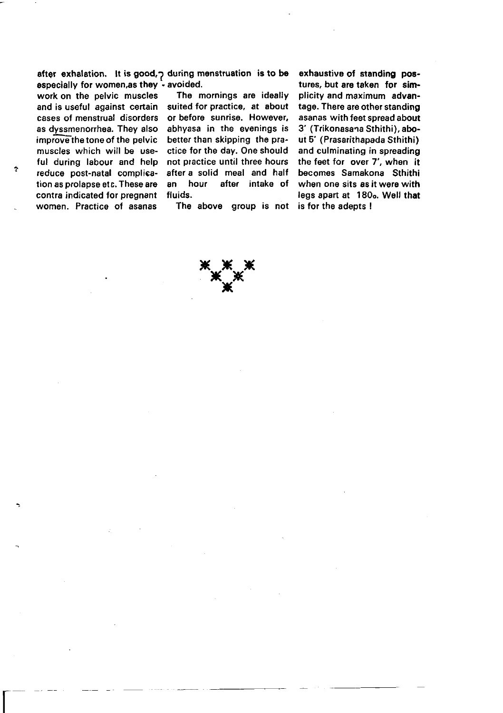especially for women,as they - avoided.<br>work on the pelvic muscles The mornings are ideally work on the pelvic muscles<br>and is useful against certain cases of menstrual disorders or before sunrise. However, cases discussed as the series of the evenings is as dyssmenorrhea. They also<br>improve the tone of the pelvic improve the tone of the pelvic better than skipping the pra-<br>muscles which will be use- ctice for the day. One should muscles which will be use- ctice for the day. One should<br>ful during labour and help not practice until three hours reduce post-natal complica- after a solid meal and half<br>tion as prolapse etc. These are an hour after intake of tion as prolapse etc. These are an hour and indicated for pregnant fluids. contra indicated for pregnant fluids.<br>women. Practice of asanas The above group is not women. Practice of asanas

 $\overline{\Gamma}$ 

after exhalation. It is good, p during menstruation is to be

suited for practice, at about<br>or before sunrise. However. not practice until three hours<br>after a solid meal and half

axhaustive of standing poetures, but are taken for simplicity and maximum advantage. There are other standing asanas with feet spread about 3' (Trikonasana Sthithi), about 5' (Prasarithapada Sthithi) and culminating in spreading the feet for over 7', when it becomes Samakona Sthithi when one sits as it were with legs apart at 180o. Well that is for the adepts I